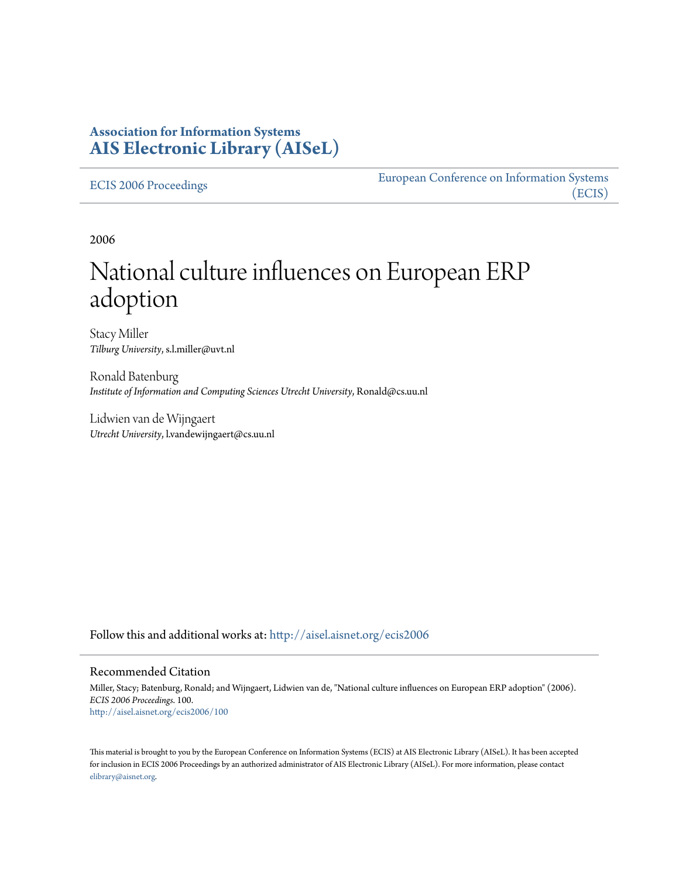# **Association for Information Systems [AIS Electronic Library \(AISeL\)](http://aisel.aisnet.org?utm_source=aisel.aisnet.org%2Fecis2006%2F100&utm_medium=PDF&utm_campaign=PDFCoverPages)**

[ECIS 2006 Proceedings](http://aisel.aisnet.org/ecis2006?utm_source=aisel.aisnet.org%2Fecis2006%2F100&utm_medium=PDF&utm_campaign=PDFCoverPages)

[European Conference on Information Systems](http://aisel.aisnet.org/ecis?utm_source=aisel.aisnet.org%2Fecis2006%2F100&utm_medium=PDF&utm_campaign=PDFCoverPages) [\(ECIS\)](http://aisel.aisnet.org/ecis?utm_source=aisel.aisnet.org%2Fecis2006%2F100&utm_medium=PDF&utm_campaign=PDFCoverPages)

2006

# National culture influences on European ERP adoption

Stacy Miller *Tilburg University*, s.l.miller@uvt.nl

Ronald Batenburg *Institute of Information and Computing Sciences Utrecht University*, Ronald@cs.uu.nl

Lidwien van de Wijngaert *Utrecht University*, l.vandewijngaert@cs.uu.nl

Follow this and additional works at: [http://aisel.aisnet.org/ecis2006](http://aisel.aisnet.org/ecis2006?utm_source=aisel.aisnet.org%2Fecis2006%2F100&utm_medium=PDF&utm_campaign=PDFCoverPages)

#### Recommended Citation

Miller, Stacy; Batenburg, Ronald; and Wijngaert, Lidwien van de, "National culture influences on European ERP adoption" (2006). *ECIS 2006 Proceedings*. 100. [http://aisel.aisnet.org/ecis2006/100](http://aisel.aisnet.org/ecis2006/100?utm_source=aisel.aisnet.org%2Fecis2006%2F100&utm_medium=PDF&utm_campaign=PDFCoverPages)

This material is brought to you by the European Conference on Information Systems (ECIS) at AIS Electronic Library (AISeL). It has been accepted for inclusion in ECIS 2006 Proceedings by an authorized administrator of AIS Electronic Library (AISeL). For more information, please contact [elibrary@aisnet.org.](mailto:elibrary@aisnet.org%3E)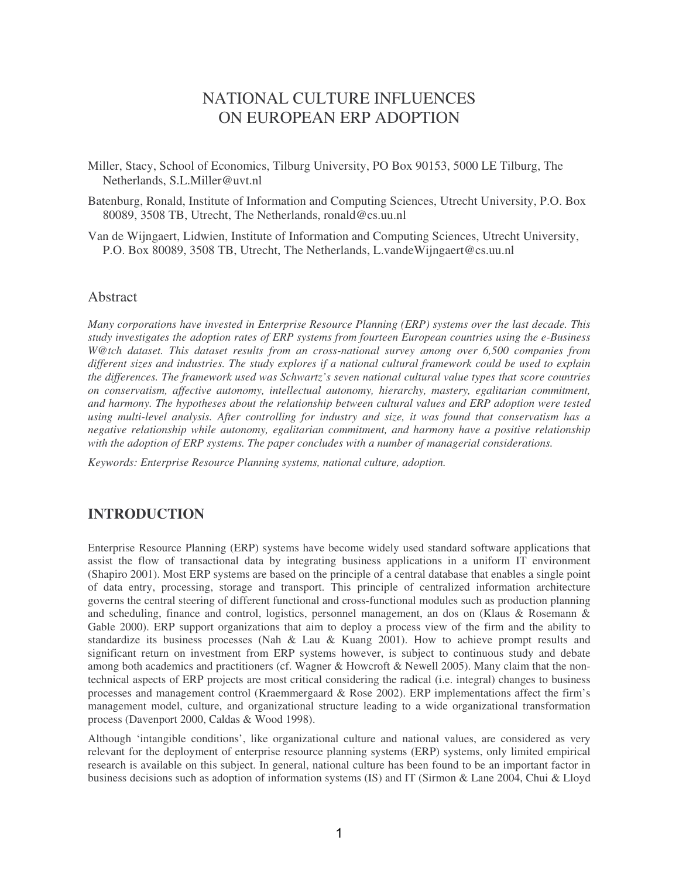# NATIONAL CULTURE INFLUENCES ON EUROPEAN ERP ADOPTION

- Miller, Stacy, School of Economics, Tilburg University, PO Box 90153, 5000 LE Tilburg, The Netherlands, S.L.Miller@uvt.nl
- Batenburg, Ronald, Institute of Information and Computing Sciences, Utrecht University, P.O. Box 80089, 3508 TB, Utrecht, The Netherlands, ronald@cs.uu.nl
- Van de Wijngaert, Lidwien, Institute of Information and Computing Sciences, Utrecht University, P.O. Box 80089, 3508 TB, Utrecht, The Netherlands, L.vandeWijngaert@cs.uu.nl

### Abstract

*Many corporations have invested in Enterprise Resource Planning (ERP) systems over the last decade. This study investigates the adoption rates of ERP systems from fourteen European countries using the e-Business W@tch dataset. This dataset results from an cross-national survey among over 6,500 companies from* different sizes and industries. The study explores if a national cultural framework could be used to explain *the differences. The framework used was Schwartz's seven national cultural value types that score countries on conservatism, affective autonomy, intellectual autonomy, hierarchy, mastery, egalitarian commitment, and harmony. The hypotheses about the relationship between cultural values and ERP adoption were tested using multi-level analysis. After controlling for industry and size, it was found that conservatism has a negative relationship while autonomy, egalitarian commitment, and harmony have a positive relationship with the adoption of ERP systems. The paper concludes with a number of managerial considerations.*

*Keywords: Enterprise Resource Planning systems, national culture, adoption.*

### **INTRODUCTION**

Enterprise Resource Planning (ERP) systems have become widely used standard software applications that assist the flow of transactional data by integrating business applications in a uniform IT environment (Shapiro 2001). Most ERP systems are based on the principle of a central database that enables a single point of data entry, processing, storage and transport. This principle of centralized information architecture governs the central steering of different functional and cross-functional modules such as production planning and scheduling, finance and control, logistics, personnel management, an dos on (Klaus & Rosemann & Gable 2000). ERP support organizations that aim to deploy a process view of the firm and the ability to standardize its business processes (Nah & Lau & Kuang 2001). How to achieve prompt results and significant return on investment from ERP systems however, is subject to continuous study and debate among both academics and practitioners (cf. Wagner & Howcroft & Newell 2005). Many claim that the nontechnical aspects of ERP projects are most critical considering the radical (i.e. integral) changes to business processes and management control (Kraemmergaard & Rose 2002). ERP implementations affect the firm's management model, culture, and organizational structure leading to a wide organizational transformation process (Davenport 2000, Caldas & Wood 1998).

Although 'intangible conditions', like organizational culture and national values, are considered as very relevant for the deployment of enterprise resource planning systems (ERP) systems, only limited empirical research is available on this subject. In general, national culture has been found to be an important factor in business decisions such as adoption of information systems (IS) and IT (Sirmon & Lane 2004, Chui & Lloyd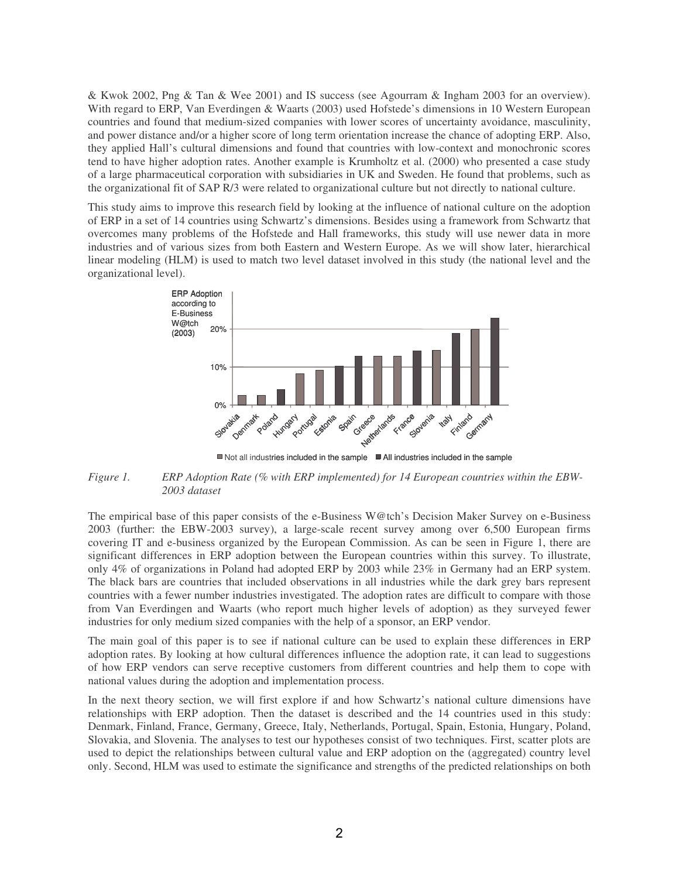& Kwok 2002, Png & Tan & Wee 2001) and IS success (see Agourram & Ingham 2003 for an overview). With regard to ERP, Van Everdingen & Waarts (2003) used Hofstede's dimensions in 10 Western European countries and found that medium-sized companies with lower scores of uncertainty avoidance, masculinity, and power distance and/or a higher score of long term orientation increase the chance of adopting ERP. Also, they applied Hall's cultural dimensions and found that countries with low-context and monochronic scores tend to have higher adoption rates. Another example is Krumholtz et al. (2000) who presented a case study of a large pharmaceutical corporation with subsidiaries in UK and Sweden. He found that problems, such as the organizational fit of SAP R/3 were related to organizational culture but not directly to national culture.

This study aims to improve this research field by looking at the influence of national culture on the adoption of ERP in a set of 14 countries using Schwartz's dimensions. Besides using a framework from Schwartz that overcomes many problems of the Hofstede and Hall frameworks, this study will use newer data in more industries and of various sizes from both Eastern and Western Europe. As we will show later, hierarchical linear modeling (HLM) is used to match two level dataset involved in this study (the national level and the organizational level).



Not all industries included in the sample All industries included in the sample

*Figure 1. ERP Adoption Rate (% with ERP implemented) for 14 European countries within the EBW-2003 dataset*

The empirical base of this paper consists of the e-Business W@tch's Decision Maker Survey on e-Business 2003 (further: the EBW-2003 survey), a large-scale recent survey among over 6,500 European firms covering IT and e-business organized by the European Commission. As can be seen in Figure 1, there are significant differences in ERP adoption between the European countries within this survey. To illustrate, only 4% of organizations in Poland had adopted ERP by 2003 while 23% in Germany had an ERP system. The black bars are countries that included observations in all industries while the dark grey bars represent countries with a fewer number industries investigated. The adoption rates are difficult to compare with those from Van Everdingen and Waarts (who report much higher levels of adoption) as they surveyed fewer industries for only medium sized companies with the help of a sponsor, an ERP vendor.

The main goal of this paper is to see if national culture can be used to explain these differences in ERP adoption rates. By looking at how cultural differences influence the adoption rate, it can lead to suggestions of how ERP vendors can serve receptive customers from different countries and help them to cope with national values during the adoption and implementation process.

In the next theory section, we will first explore if and how Schwartz's national culture dimensions have relationships with ERP adoption. Then the dataset is described and the 14 countries used in this study: Denmark, Finland, France, Germany, Greece, Italy, Netherlands, Portugal, Spain, Estonia, Hungary, Poland, Slovakia, and Slovenia. The analyses to test our hypotheses consist of two techniques. First, scatter plots are used to depict the relationships between cultural value and ERP adoption on the (aggregated) country level only. Second, HLM was used to estimate the significance and strengths of the predicted relationships on both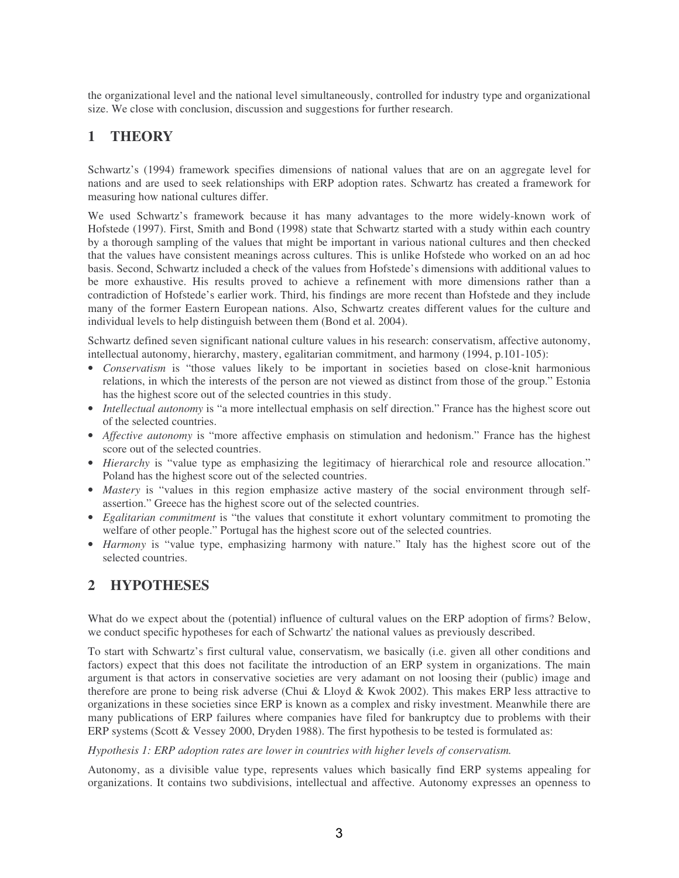the organizational level and the national level simultaneously, controlled for industry type and organizational size. We close with conclusion, discussion and suggestions for further research.

# **1 THEORY**

Schwartz's (1994) framework specifies dimensions of national values that are on an aggregate level for nations and are used to seek relationships with ERP adoption rates. Schwartz has created a framework for measuring how national cultures differ.

We used Schwartz's framework because it has many advantages to the more widely-known work of Hofstede (1997). First, Smith and Bond (1998) state that Schwartz started with a study within each country by a thorough sampling of the values that might be important in various national cultures and then checked that the values have consistent meanings across cultures. This is unlike Hofstede who worked on an ad hoc basis. Second, Schwartz included a check of the values from Hofstede's dimensions with additional values to be more exhaustive. His results proved to achieve a refinement with more dimensions rather than a contradiction of Hofstede's earlier work. Third, his findings are more recent than Hofstede and they include many of the former Eastern European nations. Also, Schwartz creates different values for the culture and individual levels to help distinguish between them (Bond et al. 2004).

Schwartz defined seven significant national culture values in his research: conservatism, affective autonomy, intellectual autonomy, hierarchy, mastery, egalitarian commitment, and harmony (1994, p.101-105):

- *Conservatism* is "those values likely to be important in societies based on close-knit harmonious relations, in which the interests of the person are not viewed as distinct from those of the group." Estonia has the highest score out of the selected countries in this study.
- *Intellectual autonomy* is "a more intellectual emphasis on self direction." France has the highest score out of the selected countries.
- *Affective autonomy* is "more affective emphasis on stimulation and hedonism." France has the highest score out of the selected countries.
- *Hierarchy* is "value type as emphasizing the legitimacy of hierarchical role and resource allocation." Poland has the highest score out of the selected countries.
- *Mastery* is "values in this region emphasize active mastery of the social environment through selfassertion." Greece has the highest score out of the selected countries.
- *Egalitarian commitment* is "the values that constitute it exhort voluntary commitment to promoting the welfare of other people." Portugal has the highest score out of the selected countries.
- *Harmony* is "value type, emphasizing harmony with nature." Italy has the highest score out of the selected countries.

# **2 HYPOTHESES**

What do we expect about the (potential) influence of cultural values on the ERP adoption of firms? Below, we conduct specific hypotheses for each of Schwartz'the national values as previously described.

To start with Schwartz's first cultural value, conservatism, we basically (i.e. given all other conditions and factors) expect that this does not facilitate the introduction of an ERP system in organizations. The main argument is that actors in conservative societies are very adamant on not loosing their (public) image and therefore are prone to being risk adverse (Chui & Lloyd & Kwok 2002). This makes ERP less attractive to organizations in these societies since ERP is known as a complex and risky investment. Meanwhile there are many publications of ERP failures where companies have filed for bankruptcy due to problems with their ERP systems (Scott & Vessey 2000, Dryden 1988). The first hypothesis to be tested is formulated as:

#### *Hypothesis 1: ERP adoption rates are lower in countries with higher levels of conservatism.*

Autonomy, as a divisible value type, represents values which basically find ERP systems appealing for organizations. It contains two subdivisions, intellectual and affective. Autonomy expresses an openness to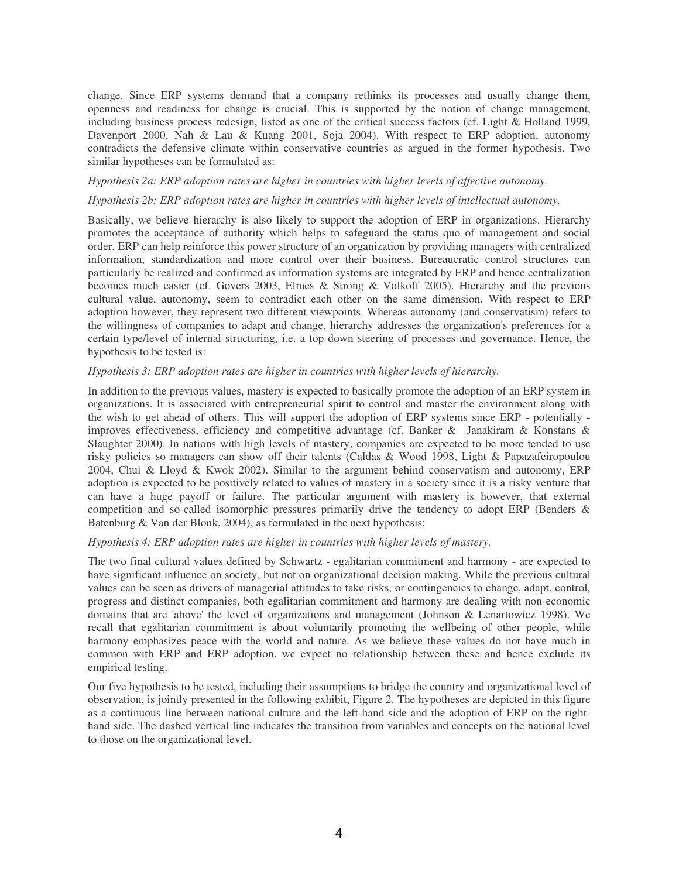change. Since ERP systems demand that a company rethinks its processes and usually change them, openness and readiness for change is crucial. This is supported by the notion of change management, including business process redesign, listed as one of the critical success factors (cf. Light & Holland 1999, Davenport 2000, Nah & Lau & Kuang 2001, Soja 2004). With respect to ERP adoption, autonomy contradicts the defensive climate within conservative countries as argued in the former hypothesis. Two similar hypotheses can be formulated as:

#### *Hypothesis 2a: ERP adoption rates are higher in countries with higher levels of affective autonomy.*

#### *Hypothesis 2b: ERP adoption rates are higher in countries with higher levels of intellectual autonomy.*

Basically, we believe hierarchy is also likely to support the adoption of ERP in organizations. Hierarchy promotes the acceptance of authority which helps to safeguard the status quo of management and social order. ERP can help reinforce this power structure of an organization by providing managers with centralized information, standardization and more control over their business. Bureaucratic control structures can particularly be realized and confirmed as information systems are integrated by ERP and hence centralization becomes much easier (cf. Govers 2003, Elmes & Strong & Volkoff 2005). Hierarchy and the previous cultural value, autonomy, seem to contradict each other on the same dimension. With respect to ERP adoption however, they represent two different viewpoints. Whereas autonomy (and conservatism) refers to the willingness of companies to adapt and change, hierarchy addresses the organization's preferences for a certain type/level of internal structuring, i.e. a top down steering of processes and governance. Hence, the hypothesis to be tested is:

#### *Hypothesis 3: ERP adoption rates are higher in countries with higher levels of hierarchy.*

In addition to the previous values, mastery is expected to basically promote the adoption of an ERP system in organizations. It is associated with entrepreneurial spirit to control and master the environment along with the wish to get ahead of others. This will support the adoption of ERP systems since ERP - potentially improves effectiveness, efficiency and competitive advantage (cf. Banker & Janakiram & Konstans & Slaughter 2000). In nations with high levels of mastery, companies are expected to be more tended to use risky policies so managers can show off their talents (Caldas & Wood 1998, Light & Papazafeiropoulou 2004, Chui & Lloyd & Kwok 2002). Similar to the argument behind conservatism and autonomy, ERP adoption is expected to be positively related to values of mastery in a society since it is a risky venture that can have a huge payoff or failure. The particular argument with mastery is however, that external competition and so-called isomorphic pressures primarily drive the tendency to adopt ERP (Benders & Batenburg & Van der Blonk, 2004), as formulated in the next hypothesis:

#### *Hypothesis 4: ERP adoption rates are higher in countries with higher levels of mastery.*

The two final cultural values defined by Schwartz - egalitarian commitment and harmony - are expected to have significant influence on society, but not on organizational decision making. While the previous cultural values can be seen as drivers of managerial attitudes to take risks, or contingencies to change, adapt, control, progress and distinct companies, both egalitarian commitment and harmony are dealing with non-economic domains that are 'above'the level of organizations and management (Johnson & Lenartowicz 1998). We recall that egalitarian commitment is about voluntarily promoting the wellbeing of other people, while harmony emphasizes peace with the world and nature. As we believe these values do not have much in common with ERP and ERP adoption, we expect no relationship between these and hence exclude its empirical testing.

Our five hypothesis to be tested, including their assumptions to bridge the country and organizational level of observation, is jointly presented in the following exhibit, Figure 2. The hypotheses are depicted in this figure as a continuous line between national culture and the left-hand side and the adoption of ERP on the righthand side. The dashed vertical line indicates the transition from variables and concepts on the national level to those on the organizational level.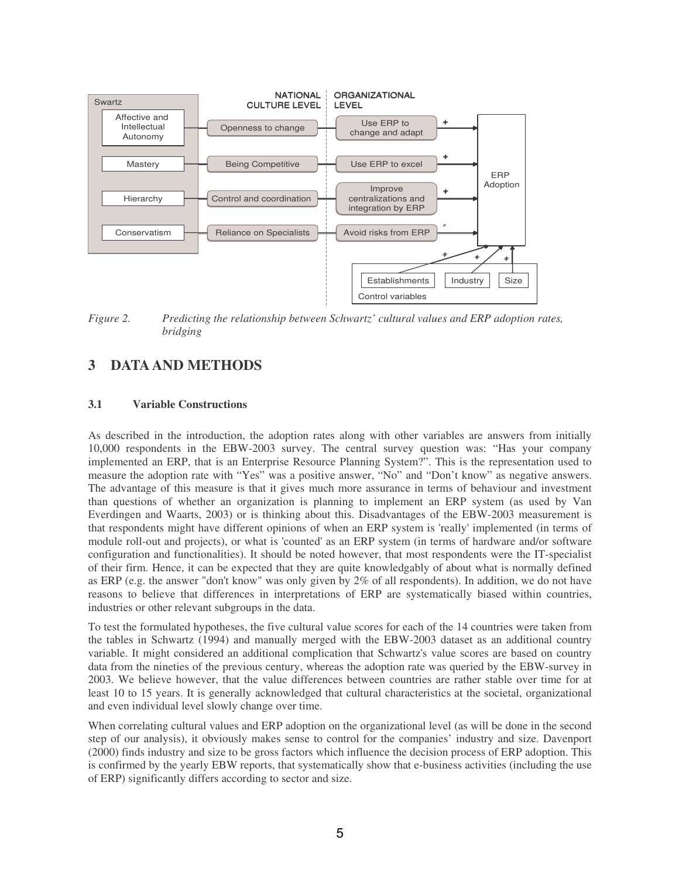

*Figure 2. Predicting the relationship between Schwartz' cultural values and ERP adoption rates, bridging*

# **3 DATAAND METHODS**

### **3.1 Variable Constructions**

As described in the introduction, the adoption rates along with other variables are answers from initially 10,000 respondents in the EBW-2003 survey. The central survey question was: "Has your company implemented an ERP, that is an Enterprise Resource Planning System?". This is the representation used to measure the adoption rate with "Yes" was a positive answer, "No" and "Don't know" as negative answers. The advantage of this measure is that it gives much more assurance in terms of behaviour and investment than questions of whether an organization is planning to implement an ERP system (as used by Van Everdingen and Waarts, 2003) or is thinking about this. Disadvantages of the EBW-2003 measurement is that respondents might have different opinions of when an ERP system is 'really'implemented (in terms of module roll-out and projects), or what is 'counted'as an ERP system (in terms of hardware and/or software configuration and functionalities). It should be noted however, that most respondents were the IT-specialist of their firm. Hence, it can be expected that they are quite knowledgably of about what is normally defined as ERP (e.g. the answer "don't know" was only given by 2% of all respondents). In addition, we do not have reasons to believe that differences in interpretations of ERP are systematically biased within countries, industries or other relevant subgroups in the data.

To test the formulated hypotheses, the five cultural value scores for each of the 14 countries were taken from the tables in Schwartz (1994) and manually merged with the EBW-2003 dataset as an additional country variable. It might considered an additional complication that Schwartz's value scores are based on country data from the nineties of the previous century, whereas the adoption rate was queried by the EBW-survey in 2003. We believe however, that the value differences between countries are rather stable over time for at least 10 to 15 years. It is generally acknowledged that cultural characteristics at the societal, organizational and even individual level slowly change over time.

When correlating cultural values and ERP adoption on the organizational level (as will be done in the second step of our analysis), it obviously makes sense to control for the companies' industry and size. Davenport (2000) finds industry and size to be gross factors which influence the decision process of ERP adoption. This is confirmed by the yearly EBW reports, that systematically show that e-business activities (including the use of ERP) significantly differs according to sector and size.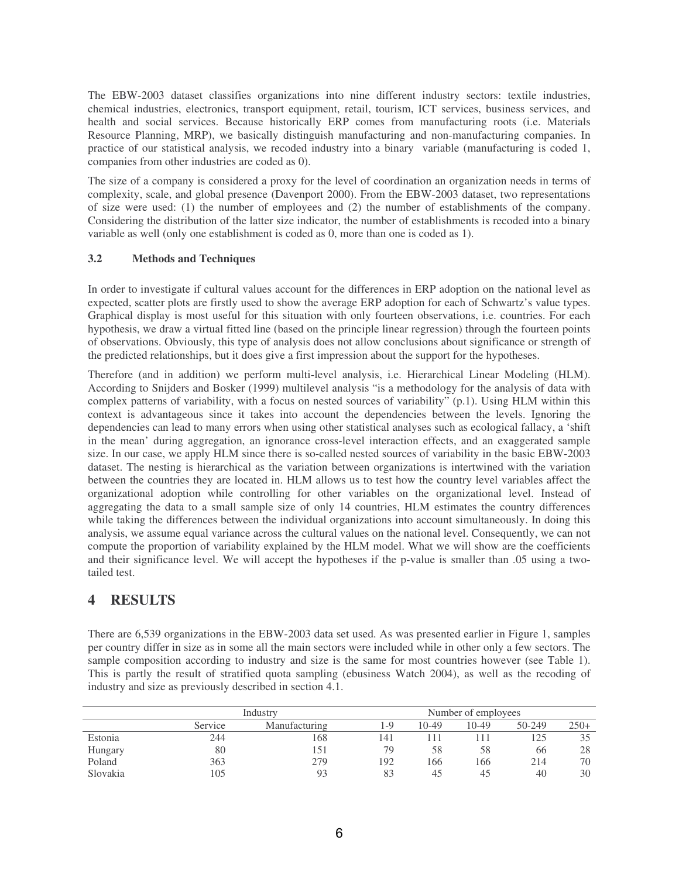The EBW-2003 dataset classifies organizations into nine different industry sectors: textile industries, chemical industries, electronics, transport equipment, retail, tourism, ICT services, business services, and health and social services. Because historically ERP comes from manufacturing roots (i.e. Materials Resource Planning, MRP), we basically distinguish manufacturing and non-manufacturing companies. In practice of our statistical analysis, we recoded industry into a binary variable (manufacturing is coded 1, companies from other industries are coded as 0).

The size of a company is considered a proxy for the level of coordination an organization needs in terms of complexity, scale, and global presence (Davenport 2000). From the EBW-2003 dataset, two representations of size were used: (1) the number of employees and (2) the number of establishments of the company. Considering the distribution of the latter size indicator, the number of establishments is recoded into a binary variable as well (only one establishment is coded as 0, more than one is coded as 1).

### **3.2 Methods and Techniques**

In order to investigate if cultural values account for the differences in ERP adoption on the national level as expected, scatter plots are firstly used to show the average ERP adoption for each of Schwartz's value types. Graphical display is most useful for this situation with only fourteen observations, i.e. countries. For each hypothesis, we draw a virtual fitted line (based on the principle linear regression) through the fourteen points of observations. Obviously, this type of analysis does not allow conclusions about significance or strength of the predicted relationships, but it does give a first impression about the support for the hypotheses.

Therefore (and in addition) we perform multi-level analysis, i.e. Hierarchical Linear Modeling (HLM). According to Snijders and Bosker (1999) multilevel analysis "is a methodology for the analysis of data with complex patterns of variability, with a focus on nested sources of variability" (p.1). Using HLM within this context is advantageous since it takes into account the dependencies between the levels. Ignoring the dependencies can lead to many errors when using other statistical analyses such as ecological fallacy, a 'shift in the mean' during aggregation, an ignorance cross-level interaction effects, and an exaggerated sample size. In our case, we apply HLM since there is so-called nested sources of variability in the basic EBW-2003 dataset. The nesting is hierarchical as the variation between organizations is intertwined with the variation between the countries they are located in. HLM allows us to test how the country level variables affect the organizational adoption while controlling for other variables on the organizational level. Instead of aggregating the data to a small sample size of only 14 countries, HLM estimates the country differences while taking the differences between the individual organizations into account simultaneously. In doing this analysis, we assume equal variance across the cultural values on the national level. Consequently, we can not compute the proportion of variability explained by the HLM model. What we will show are the coefficients and their significance level. We will accept the hypotheses if the p-value is smaller than .05 using a twotailed test.

## **4 RESULTS**

There are 6,539 organizations in the EBW-2003 data set used. As was presented earlier in Figure 1, samples per country differ in size as in some all the main sectors were included while in other only a few sectors. The sample composition according to industry and size is the same for most countries however (see Table 1). This is partly the result of stratified quota sampling (ebusiness Watch 2004), as well as the recoding of industry and size as previously described in section 4.1.

|          | Industry |               |                 | Number of employees |       |        |        |  |
|----------|----------|---------------|-----------------|---------------------|-------|--------|--------|--|
|          | Service  | Manufacturing | $\overline{-9}$ | $10-49$             | 10-49 | 50-249 | $250+$ |  |
| Estonia  | 244      | 168           | 141             |                     |       | 125    |        |  |
| Hungary  | 80       | 151           | 79              | 58                  | 58    | 66     | 28     |  |
| Poland   | 363      | 279           | 192             | 166                 | 166   | 214    | 70     |  |
| Slovakia | 105      | 93            | 83              | 45                  | 45    | 40     | 30     |  |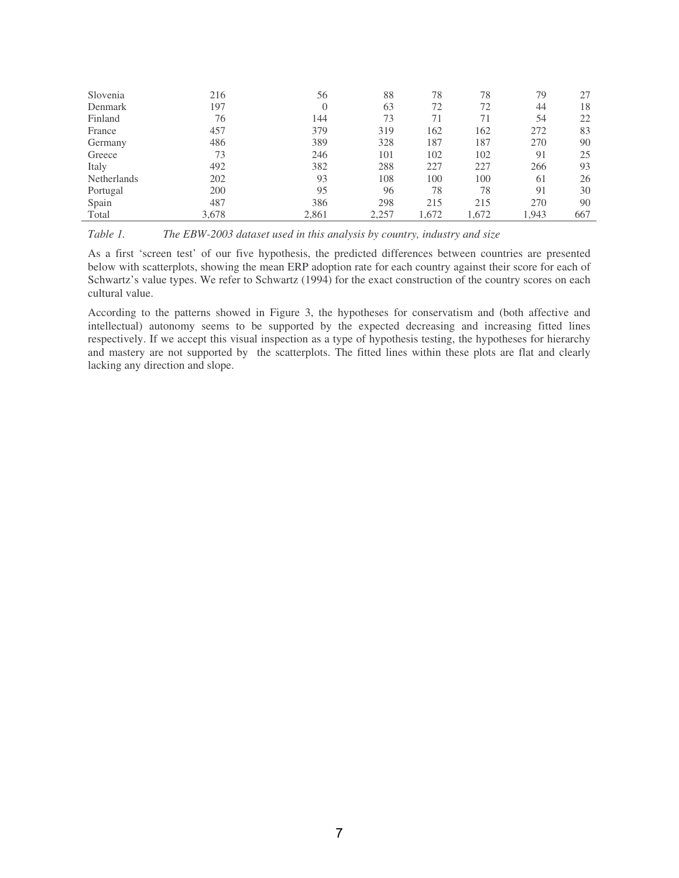| Slovenia           | 216   | 56       | 88    | 78    | 78    | 79    | 27  |
|--------------------|-------|----------|-------|-------|-------|-------|-----|
| Denmark            | 197   | $\theta$ | 63    | 72    | 72    | 44    | 18  |
| Finland            | 76    | 144      | 73    | 71    | 71    | 54    | 22  |
| France             | 457   | 379      | 319   | 162   | 162   | 272   | 83  |
| Germany            | 486   | 389      | 328   | 187   | 187   | 270   | 90  |
| Greece             | 73    | 246      | 101   | 102   | 102   | 91    | 25  |
| Italy              | 492   | 382      | 288   | 227   | 227   | 266   | 93  |
| <b>Netherlands</b> | 202   | 93       | 108   | 100   | 100   | 61    | 26  |
| Portugal           | 200   | 95       | 96    | 78    | 78    | 91    | 30  |
| Spain              | 487   | 386      | 298   | 215   | 215   | 270   | 90  |
| Total              | 3,678 | 2,861    | 2,257 | 1,672 | 1,672 | 1,943 | 667 |

| Table 1. | The EBW-2003 dataset used in this analysis by country, industry and size |  |  |  |  |  |
|----------|--------------------------------------------------------------------------|--|--|--|--|--|
|----------|--------------------------------------------------------------------------|--|--|--|--|--|

As a first 'screen test' of our five hypothesis, the predicted differences between countries are presented below with scatterplots, showing the mean ERP adoption rate for each country against their score for each of Schwartz's value types. We refer to Schwartz (1994) for the exact construction of the country scores on each cultural value.

According to the patterns showed in Figure 3, the hypotheses for conservatism and (both affective and intellectual) autonomy seems to be supported by the expected decreasing and increasing fitted lines respectively. If we accept this visual inspection as a type of hypothesis testing, the hypotheses for hierarchy and mastery are not supported by the scatterplots. The fitted lines within these plots are flat and clearly lacking any direction and slope.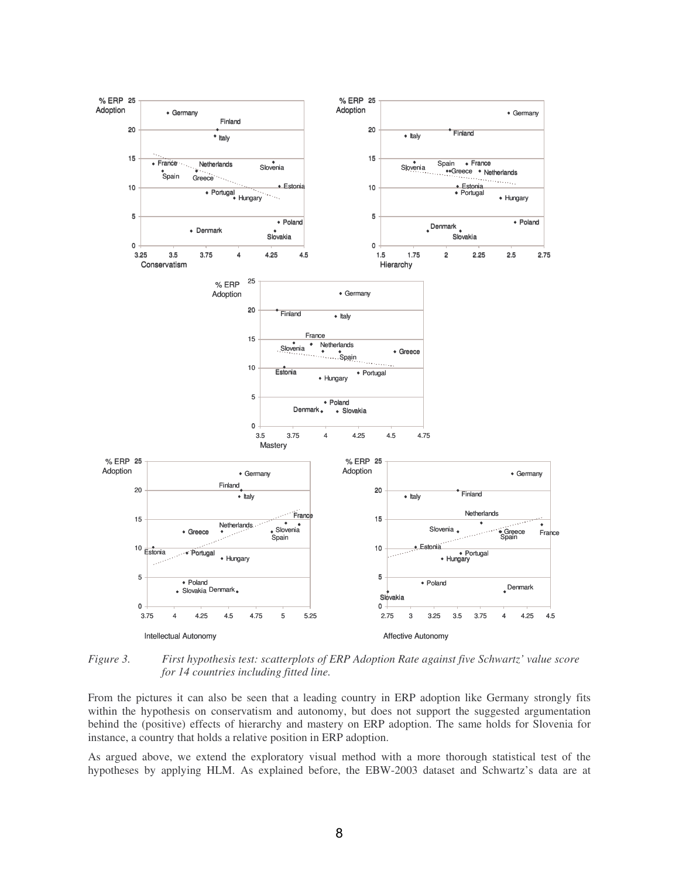

*Figure 3. First hypothesis test: scatterplots of ERP Adoption Rate against five Schwartz' value score for 14 countries including fitted line.*

From the pictures it can also be seen that a leading country in ERP adoption like Germany strongly fits within the hypothesis on conservatism and autonomy, but does not support the suggested argumentation behind the (positive) effects of hierarchy and mastery on ERP adoption. The same holds for Slovenia for instance, a country that holds a relative position in ERP adoption.

As argued above, we extend the exploratory visual method with a more thorough statistical test of the hypotheses by applying HLM. As explained before, the EBW-2003 dataset and Schwartz's data are at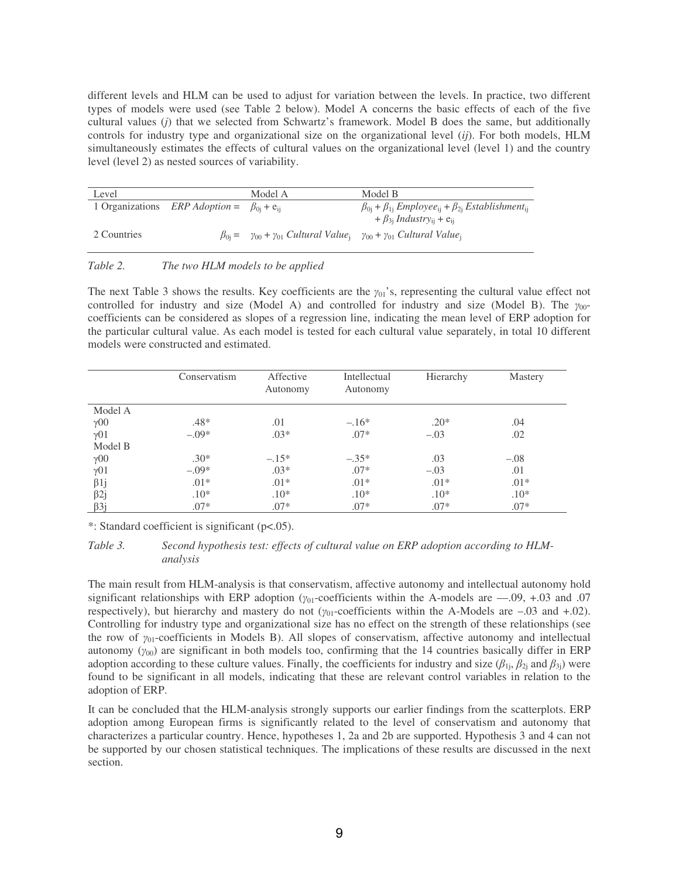different levels and HLM can be used to adjust for variation between the levels. In practice, two different types of models were used (see Table 2 below). Model A concerns the basic effects of each of the five cultural values (*j*) that we selected from Schwartz's framework. Model B does the same, but additionally controls for industry type and organizational size on the organizational level (*ij*). For both models, HLM simultaneously estimates the effects of cultural values on the organizational level (level 1) and the country level (level 2) as nested sources of variability.

| Level       |                                                                      | Model A                                                                                                                      | Model B                                                                                     |
|-------------|----------------------------------------------------------------------|------------------------------------------------------------------------------------------------------------------------------|---------------------------------------------------------------------------------------------|
|             | 1 Organizations <i>ERP Adoption</i> = $\beta_{0i}$ + e <sub>ii</sub> |                                                                                                                              | $\beta_{0i} + \beta_{1i}$ Employee <sub>ii</sub> + $\beta_{2i}$ Establishment <sub>ii</sub> |
|             |                                                                      |                                                                                                                              | $+ \beta_{3i}$ Industry <sub>ii</sub> + e <sub>ii</sub>                                     |
| 2 Countries |                                                                      | $\beta_{0i} = \gamma_{00} + \gamma_{01}$ Cultural Value <sub>i</sub> $\gamma_{00} + \gamma_{01}$ Cultural Value <sub>i</sub> |                                                                                             |

*Table 2. The two HLM models to be applied*

The next Table 3 shows the results. Key coefficients are the  $\gamma_{01}$ 's, representing the cultural value effect not controlled for industry and size (Model A) and controlled for industry and size (Model B). The  $\gamma_{00}$ coefficients can be considered as slopes of a regression line, indicating the mean level of ERP adoption for the particular cultural value. As each model is tested for each cultural value separately, in total 10 different models were constructed and estimated.

|                        | Conservatism | Affective<br>Autonomy | Intellectual<br>Autonomy | Hierarchy | <b>Mastery</b> |
|------------------------|--------------|-----------------------|--------------------------|-----------|----------------|
| Model A                |              |                       |                          |           |                |
| $\gamma$ 00            | $.48*$       | .01                   | $-.16*$                  | $.20*$    | .04            |
| $\gamma$ 01            | $-.09*$      | $.03*$                | $.07*$                   | $-.03$    | .02            |
| Model B                |              |                       |                          |           |                |
| $\gamma$ <sup>00</sup> | $.30*$       | $-.15*$               | $-.35*$                  | .03       | $-.08$         |
| $\gamma$ 01            | $-.09*$      | $.03*$                | $.07*$                   | $-.03$    | .01            |
| $\beta$ 1j             | $.01*$       | $.01*$                | $.01*$                   | $.01*$    | $.01*$         |
| $\beta$ 2j             | $.10*$       | $.10*$                | $.10*$                   | $.10*$    | $.10*$         |
| $\beta$ 3j             | $.07*$       | $.07*$                | $.07*$                   | $.07*$    | $.07*$         |

\*: Standard coefficient is significant (p<.05).

#### *Table 3. Second hypothesis test: effects of cultural value on ERP adoption according to HLManalysis*

The main result from HLM-analysis is that conservatism, affective autonomy and intellectual autonomy hold significant relationships with ERP adoption ( $y_{01}$ -coefficients within the A-models are --0.09, +0.03 and 0.07 respectively), but hierarchy and mastery do not  $(\gamma_{01}$ -coefficients within the A-Models are  $-.03$  and  $+.02$ ). Controlling for industry type and organizational size has no effect on the strength of these relationships (see the row of  $\gamma_{01}$ -coefficients in Models B). All slopes of conservatism, affective autonomy and intellectual autonomy  $(\gamma_{00})$  are significant in both models too, confirming that the 14 countries basically differ in ERP adoption according to these culture values. Finally, the coefficients for industry and size  $(\beta_{1j}, \beta_{2j}$  and  $\beta_{3j})$  were found to be significant in all models, indicating that these are relevant control variables in relation to the adoption of ERP.

It can be concluded that the HLM-analysis strongly supports our earlier findings from the scatterplots. ERP adoption among European firms is significantly related to the level of conservatism and autonomy that characterizes a particular country. Hence, hypotheses 1, 2a and 2b are supported. Hypothesis 3 and 4 can not be supported by our chosen statistical techniques. The implications of these results are discussed in the next section.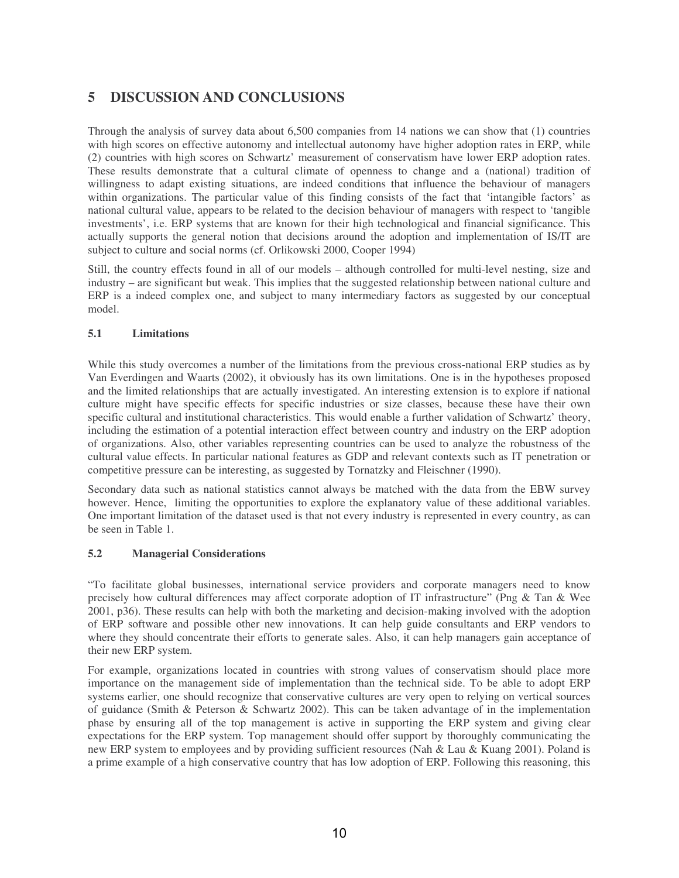# **5 DISCUSSION AND CONCLUSIONS**

Through the analysis of survey data about 6,500 companies from 14 nations we can show that (1) countries with high scores on effective autonomy and intellectual autonomy have higher adoption rates in ERP, while (2) countries with high scores on Schwartz' measurement of conservatism have lower ERP adoption rates. These results demonstrate that a cultural climate of openness to change and a (national) tradition of willingness to adapt existing situations, are indeed conditions that influence the behaviour of managers within organizations. The particular value of this finding consists of the fact that 'intangible factors' as national cultural value, appears to be related to the decision behaviour of managers with respect to 'tangible investments', i.e. ERP systems that are known for their high technological and financial significance. This actually supports the general notion that decisions around the adoption and implementation of IS/IT are subject to culture and social norms (cf. Orlikowski 2000, Cooper 1994)

Still, the country effects found in all of our models – although controlled for multi-level nesting, size and industry – are significant but weak. This implies that the suggested relationship between national culture and ERP is a indeed complex one, and subject to many intermediary factors as suggested by our conceptual model.

### **5.1 Limitations**

While this study overcomes a number of the limitations from the previous cross-national ERP studies as by Van Everdingen and Waarts (2002), it obviously has its own limitations. One is in the hypotheses proposed and the limited relationships that are actually investigated. An interesting extension is to explore if national culture might have specific effects for specific industries or size classes, because these have their own specific cultural and institutional characteristics. This would enable a further validation of Schwartz' theory, including the estimation of a potential interaction effect between country and industry on the ERP adoption of organizations. Also, other variables representing countries can be used to analyze the robustness of the cultural value effects. In particular national features as GDP and relevant contexts such as IT penetration or competitive pressure can be interesting, as suggested by Tornatzky and Fleischner (1990).

Secondary data such as national statistics cannot always be matched with the data from the EBW survey however. Hence, limiting the opportunities to explore the explanatory value of these additional variables. One important limitation of the dataset used is that not every industry is represented in every country, as can be seen in Table 1.

### **5.2 Managerial Considerations**

"To facilitate global businesses, international service providers and corporate managers need to know precisely how cultural differences may affect corporate adoption of IT infrastructure" (Png & Tan & Wee 2001, p36). These results can help with both the marketing and decision-making involved with the adoption of ERP software and possible other new innovations. It can help guide consultants and ERP vendors to where they should concentrate their efforts to generate sales. Also, it can help managers gain acceptance of their new ERP system.

For example, organizations located in countries with strong values of conservatism should place more importance on the management side of implementation than the technical side. To be able to adopt ERP systems earlier, one should recognize that conservative cultures are very open to relying on vertical sources of guidance (Smith & Peterson & Schwartz 2002). This can be taken advantage of in the implementation phase by ensuring all of the top management is active in supporting the ERP system and giving clear expectations for the ERP system. Top management should offer support by thoroughly communicating the new ERP system to employees and by providing sufficient resources (Nah & Lau & Kuang 2001). Poland is a prime example of a high conservative country that has low adoption of ERP. Following this reasoning, this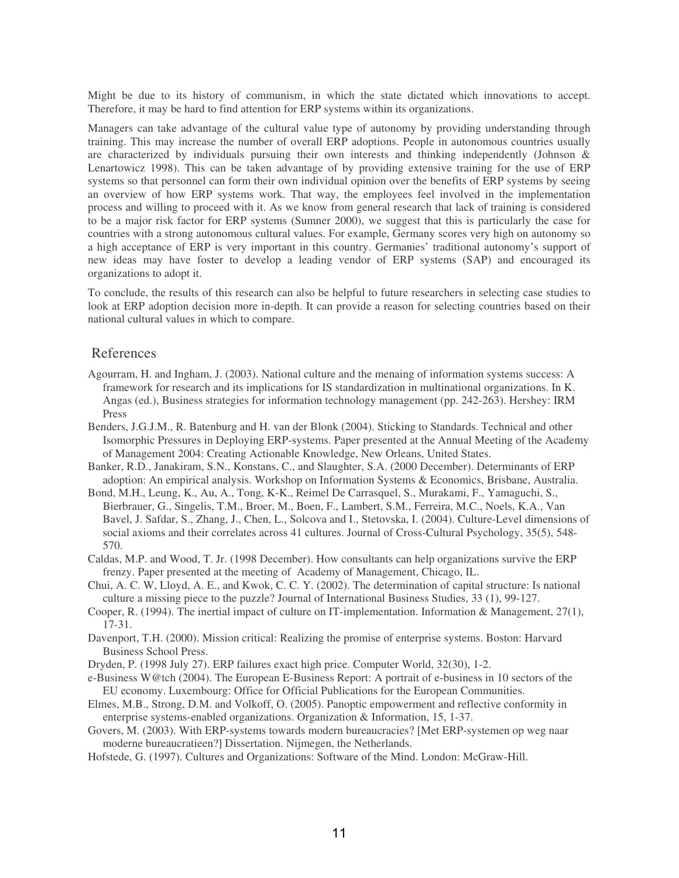Might be due to its history of communism, in which the state dictated which innovations to accept. Therefore, it may be hard to find attention for ERP systems within its organizations.

Managers can take advantage of the cultural value type of autonomy by providing understanding through training. This may increase the number of overall ERP adoptions. People in autonomous countries usually are characterized by individuals pursuing their own interests and thinking independently (Johnson & Lenartowicz 1998). This can be taken advantage of by providing extensive training for the use of ERP systems so that personnel can form their own individual opinion over the benefits of ERP systems by seeing an overview of how ERP systems work. That way, the employees feel involved in the implementation process and willing to proceed with it. As we know from general research that lack of training is considered to be a major risk factor for ERP systems (Sumner 2000), we suggest that this is particularly the case for countries with a strong autonomous cultural values. For example, Germany scores very high on autonomy so a high acceptance of ERP is very important in this country. Germanies' traditional autonomy's support of new ideas may have foster to develop a leading vendor of ERP systems (SAP) and encouraged its organizations to adopt it.

To conclude, the results of this research can also be helpful to future researchers in selecting case studies to look at ERP adoption decision more in-depth. It can provide a reason for selecting countries based on their national cultural values in which to compare.

### References

- Agourram, H. and Ingham, J. (2003). National culture and the menaing of information systems success: A framework for research and its implications for IS standardization in multinational organizations. In K. Angas (ed.), Business strategies for information technology management (pp. 242-263). Hershey: IRM Press
- Benders, J.G.J.M., R. Batenburg and H. van der Blonk (2004). Sticking to Standards. Technical and other Isomorphic Pressures in Deploying ERP-systems. Paper presented at the Annual Meeting of the Academy of Management 2004: Creating Actionable Knowledge, New Orleans, United States.
- Banker, R.D., Janakiram, S.N., Konstans, C., and Slaughter, S.A. (2000 December). Determinants of ERP adoption: An empirical analysis. Workshop on Information Systems & Economics, Brisbane, Australia.
- Bond, M.H., Leung, K., Au, A., Tong, K-K., Reimel De Carrasquel, S., Murakami, F., Yamaguchi, S., Bierbrauer, G., Singelis, T.M., Broer, M., Boen, F., Lambert, S.M., Ferreira, M.C., Noels, K.A., Van Bavel, J. Safdar, S., Zhang, J., Chen, L., Solcova and I., Stetovska, I. (2004). Culture-Level dimensions of social axioms and their correlates across 41 cultures. Journal of Cross-Cultural Psychology, 35(5), 548- 570.
- Caldas, M.P. and Wood, T. Jr. (1998 December). How consultants can help organizations survive the ERP frenzy. Paper presented at the meeting of Academy of Management, Chicago, IL.
- Chui, A. C. W, Lloyd, A. E., and Kwok, C. C. Y. (2002). The determination of capital structure: Is national culture a missing piece to the puzzle? Journal of International Business Studies, 33 (1), 99-127.
- Cooper, R. (1994). The inertial impact of culture on IT-implementation. Information & Management, 27(1), 17-31.
- Davenport, T.H. (2000). Mission critical: Realizing the promise of enterprise systems. Boston: Harvard Business School Press.
- Dryden, P. (1998 July 27). ERP failures exact high price. Computer World, 32(30), 1-2.
- e-Business W@tch (2004). The European E-Business Report: A portrait of e-business in 10 sectors of the EU economy. Luxembourg: Office for Official Publications for the European Communities.
- Elmes, M.B., Strong, D.M. and Volkoff, O. (2005). Panoptic empowerment and reflective conformity in enterprise systems-enabled organizations. Organization & Information, 15, 1-37.
- Govers, M. (2003). With ERP-systems towards modern bureaucracies? [Met ERP-systemen op weg naar moderne bureaucratieen?] Dissertation. Nijmegen, the Netherlands.
- Hofstede, G. (1997). Cultures and Organizations: Software of the Mind. London: McGraw-Hill.